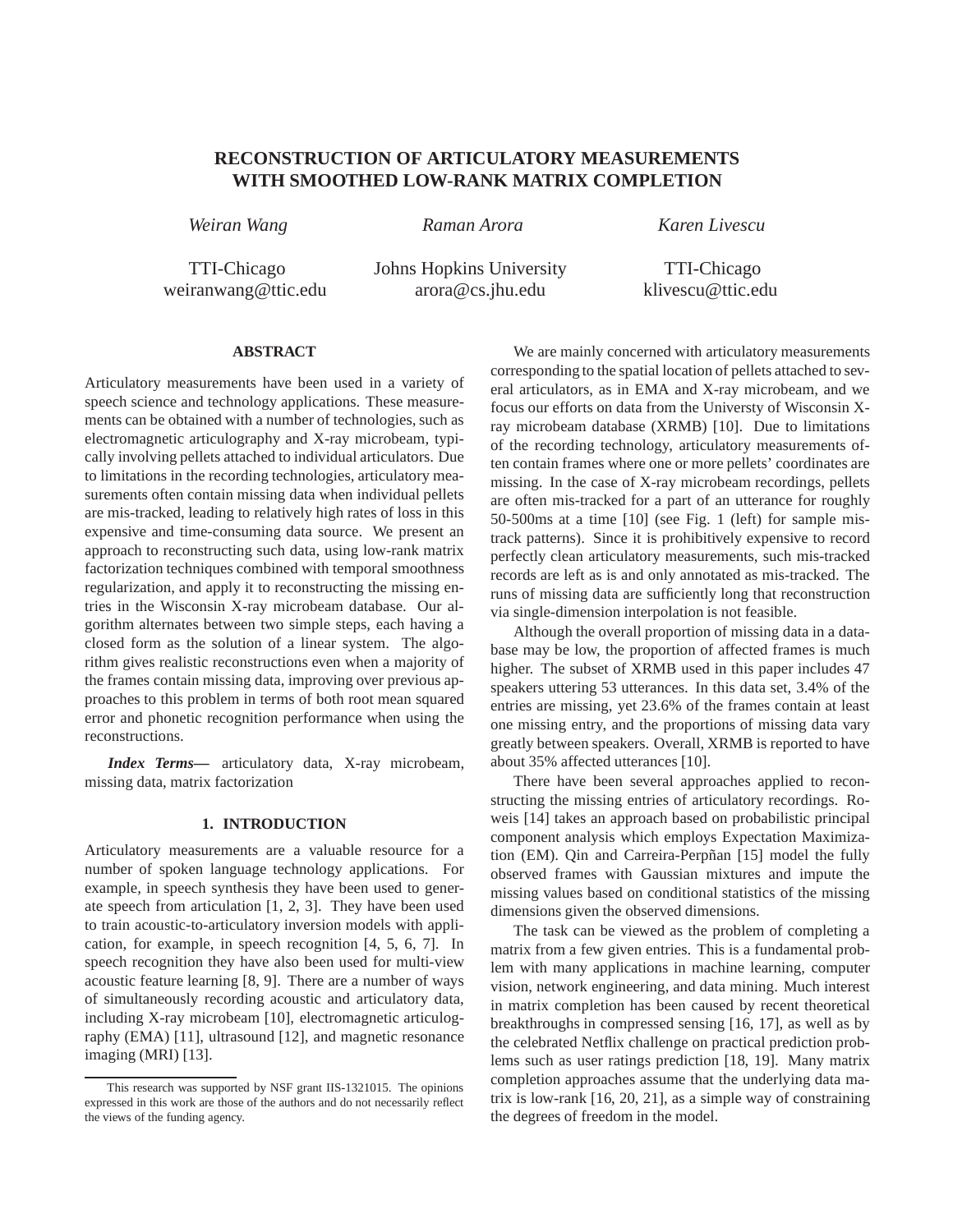# **RECONSTRUCTION OF ARTICULATORY MEASUREMENTS WITH SMOOTHED LOW-RANK MATRIX COMPLETION**

*Weiran Wang Raman Arora Karen Livescu*

TTI-Chicago Johns Hopkins University TTI-Chicago weiranwang@ttic.edu arora@cs.jhu.edu klivescu@ttic.edu

# **ABSTRACT**

Articulatory measurements have been used in a variety of speech science and technology applications. These measurements can be obtained with a number of technologies, such as electromagnetic articulography and X-ray microbeam, typically involving pellets attached to individual articulators. Due to limitations in the recording technologies, articulatory measurements often contain missing data when individual pellets are mis-tracked, leading to relatively high rates of loss in this expensive and time-consuming data source. We present an approach to reconstructing such data, using low-rank matrix factorization techniques combined with temporal smoothness regularization, and apply it to reconstructing the missing entries in the Wisconsin X-ray microbeam database. Our algorithm alternates between two simple steps, each having a closed form as the solution of a linear system. The algorithm gives realistic reconstructions even when a majority of the frames contain missing data, improving over previous approaches to this problem in terms of both root mean squared error and phonetic recognition performance when using the reconstructions.

*Index Terms***—** articulatory data, X-ray microbeam, missing data, matrix factorization

# **1. INTRODUCTION**

Articulatory measurements are a valuable resource for a number of spoken language technology applications. For example, in speech synthesis they have been used to generate speech from articulation [1, 2, 3]. They have been used to train acoustic-to-articulatory inversion models with application, for example, in speech recognition [4, 5, 6, 7]. In speech recognition they have also been used for multi-view acoustic feature learning [8, 9]. There are a number of ways of simultaneously recording acoustic and articulatory data, including X-ray microbeam [10], electromagnetic articulography (EMA) [11], ultrasound [12], and magnetic resonance imaging (MRI) [13].

We are mainly concerned with articulatory measurements corresponding to the spatial location of pellets attached to several articulators, as in EMA and X-ray microbeam, and we focus our efforts on data from the Universty of Wisconsin Xray microbeam database (XRMB) [10]. Due to limitations of the recording technology, articulatory measurements often contain frames where one or more pellets' coordinates are missing. In the case of X-ray microbeam recordings, pellets are often mis-tracked for a part of an utterance for roughly 50-500ms at a time [10] (see Fig. 1 (left) for sample mistrack patterns). Since it is prohibitively expensive to record perfectly clean articulatory measurements, such mis-tracked records are left as is and only annotated as mis-tracked. The runs of missing data are sufficiently long that reconstruction via single-dimension interpolation is not feasible.

Although the overall proportion of missing data in a database may be low, the proportion of affected frames is much higher. The subset of XRMB used in this paper includes 47 speakers uttering 53 utterances. In this data set, 3.4% of the entries are missing, yet 23.6% of the frames contain at least one missing entry, and the proportions of missing data vary greatly between speakers. Overall, XRMB is reported to have about 35% affected utterances [10].

There have been several approaches applied to reconstructing the missing entries of articulatory recordings. Roweis [14] takes an approach based on probabilistic principal component analysis which employs Expectation Maximization (EM). Qin and Carreira-Perpñan [15] model the fully observed frames with Gaussian mixtures and impute the missing values based on conditional statistics of the missing dimensions given the observed dimensions.

The task can be viewed as the problem of completing a matrix from a few given entries. This is a fundamental problem with many applications in machine learning, computer vision, network engineering, and data mining. Much interest in matrix completion has been caused by recent theoretical breakthroughs in compressed sensing [16, 17], as well as by the celebrated Netflix challenge on practical prediction problems such as user ratings prediction [18, 19]. Many matrix completion approaches assume that the underlying data matrix is low-rank [16, 20, 21], as a simple way of constraining the degrees of freedom in the model.

This research was supported by NSF grant IIS-1321015. The opinions expressed in this work are those of the authors and do not necessarily reflect the views of the funding agency.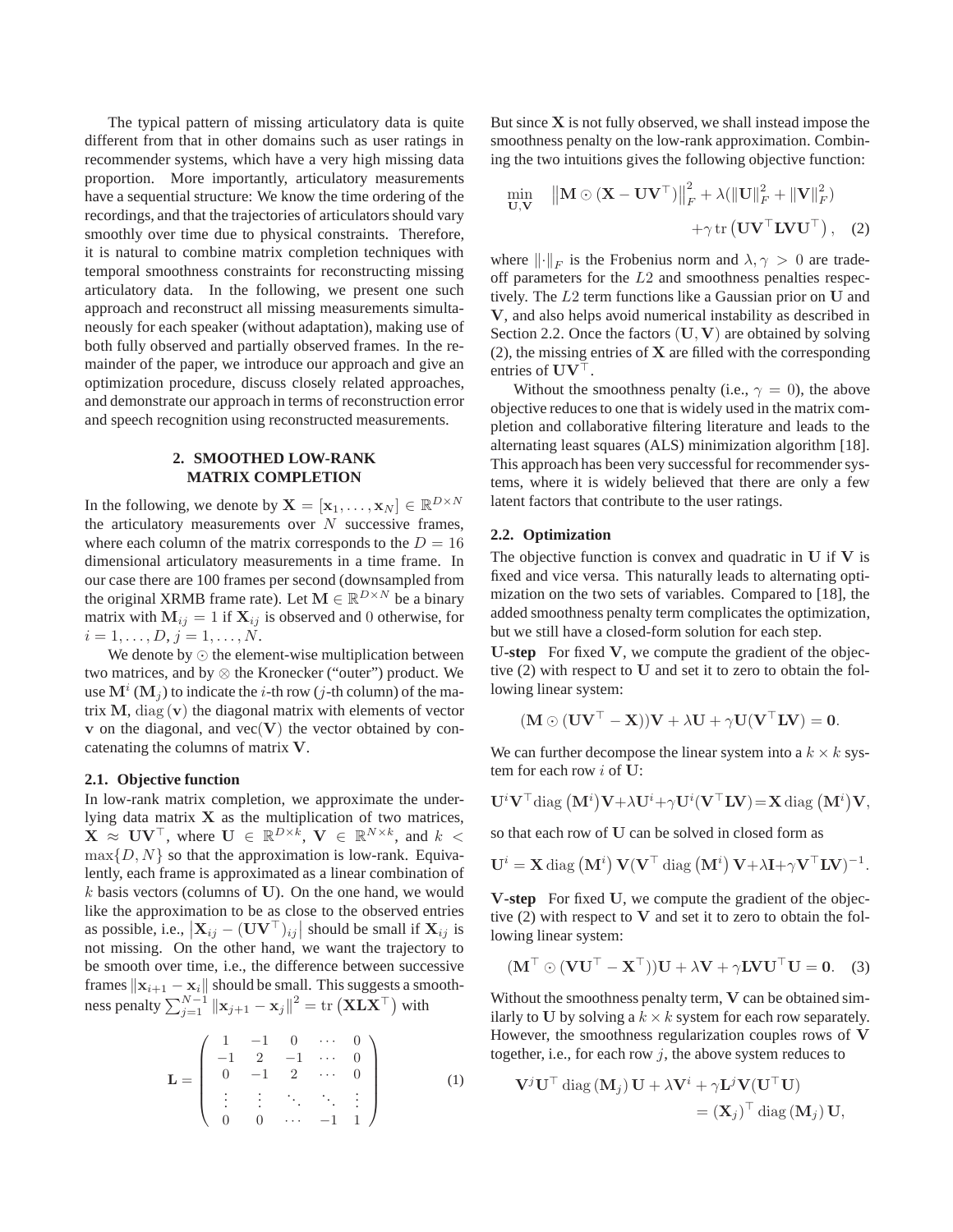The typical pattern of missing articulatory data is quite different from that in other domains such as user ratings in recommender systems, which have a very high missing data proportion. More importantly, articulatory measurements have a sequential structure: We know the time ordering of the recordings, and that the trajectories of articulators should vary smoothly over time due to physical constraints. Therefore, it is natural to combine matrix completion techniques with temporal smoothness constraints for reconstructing missing articulatory data. In the following, we present one such approach and reconstruct all missing measurements simultaneously for each speaker (without adaptation), making use of both fully observed and partially observed frames. In the remainder of the paper, we introduce our approach and give an optimization procedure, discuss closely related approaches, and demonstrate our approach in terms of reconstruction error and speech recognition using reconstructed measurements.

# **2. SMOOTHED LOW-RANK MATRIX COMPLETION**

In the following, we denote by  $\mathbf{X} = [\mathbf{x}_1, \dots, \mathbf{x}_N] \in \mathbb{R}^{D \times N}$ the articulatory measurements over  $N$  successive frames, where each column of the matrix corresponds to the  $D = 16$ dimensional articulatory measurements in a time frame. In our case there are 100 frames per second (downsampled from the original XRMB frame rate). Let  $M \in \mathbb{R}^{D \times N}$  be a binary matrix with  $M_{ij} = 1$  if  $X_{ij}$  is observed and 0 otherwise, for  $i = 1, \ldots, D, j = 1, \ldots, N.$ 

We denote by ⊙ the element-wise multiplication between two matrices, and by ⊗ the Kronecker ("outer") product. We use  $\mathbf{M}^i$  ( $\mathbf{M}_j$ ) to indicate the *i*-th row (*j*-th column) of the matrix  $M$ , diag  $(v)$  the diagonal matrix with elements of vector v on the diagonal, and  $\text{vec}(V)$  the vector obtained by concatenating the columns of matrix V.

## **2.1. Objective function**

In low-rank matrix completion, we approximate the underlying data matrix  $X$  as the multiplication of two matrices,  $\mathbf{X} \approx \mathbf{U} \mathbf{V}^{\top}$ , where  $\mathbf{U} \in \mathbb{R}^{D \times k}$ ,  $\mathbf{V} \in \mathbb{R}^{N \times k}$ , and  $k <$  $\max\{D, N\}$  so that the approximation is low-rank. Equivalently, each frame is approximated as a linear combination of  $k$  basis vectors (columns of U). On the one hand, we would like the approximation to be as close to the observed entries as possible, i.e.,  $|\mathbf{X}_{ij} - (\mathbf{U}\mathbf{V}^{\top})_{ij}|$  should be small if  $\mathbf{X}_{ij}$  is not missing. On the other hand, we want the trajectory to be smooth over time, i.e., the difference between successive frames  $\|\mathbf{x}_{i+1} - \mathbf{x}_i\|$  should be small. This suggests a smoothness penalty  $\sum_{j=1}^{N-1} \left\| \mathbf{x}_{j+1} - \mathbf{x}_j \right\|^2 = \text{tr} \left( \mathbf{X L X}^\top \right)$  with

$$
\mathbf{L} = \left( \begin{array}{cccc} 1 & -1 & 0 & \cdots & 0 \\ -1 & 2 & -1 & \cdots & 0 \\ 0 & -1 & 2 & \cdots & 0 \\ \vdots & \vdots & \ddots & \ddots & \vdots \\ 0 & 0 & \cdots & -1 & 1 \end{array} \right) \tag{1}
$$

But since  $X$  is not fully observed, we shall instead impose the smoothness penalty on the low-rank approximation. Combining the two intuitions gives the following objective function:

$$
\begin{aligned}\n\min_{\mathbf{U}, \mathbf{V}} \quad & \left\| \mathbf{M} \odot (\mathbf{X} - \mathbf{U} \mathbf{V}^\top) \right\|_F^2 + \lambda (\|\mathbf{U}\|_F^2 + \|\mathbf{V}\|_F^2) \\
&\quad + \gamma \operatorname{tr} (\mathbf{U} \mathbf{V}^\top \mathbf{L} \mathbf{V} \mathbf{U}^\top), \quad (2)\n\end{aligned}
$$

where  $\left\| \cdot \right\|_F$  is the Frobenius norm and  $\lambda, \gamma > 0$  are tradeoff parameters for the L2 and smoothness penalties respectively. The L2 term functions like a Gaussian prior on U and V, and also helps avoid numerical instability as described in Section 2.2. Once the factors  $(U, V)$  are obtained by solving  $(2)$ , the missing entries of **X** are filled with the corresponding entries of  $UV^{\top}$ .

Without the smoothness penalty (i.e.,  $\gamma = 0$ ), the above objective reduces to one that is widely used in the matrix completion and collaborative filtering literature and leads to the alternating least squares (ALS) minimization algorithm [18]. This approach has been very successful for recommender systems, where it is widely believed that there are only a few latent factors that contribute to the user ratings.

#### **2.2. Optimization**

The objective function is convex and quadratic in  $U$  if  $V$  is fixed and vice versa. This naturally leads to alternating optimization on the two sets of variables. Compared to [18], the added smoothness penalty term complicates the optimization, but we still have a closed-form solution for each step.

U**-step** For fixed V, we compute the gradient of the objective (2) with respect to U and set it to zero to obtain the following linear system:

$$
(\mathbf{M} \odot (\mathbf{U}\mathbf{V}^\top - \mathbf{X}))\mathbf{V} + \lambda \mathbf{U} + \gamma \mathbf{U}(\mathbf{V}^\top \mathbf{L} \mathbf{V}) = \mathbf{0}.
$$

We can further decompose the linear system into a  $k \times k$  system for each row i of U:

$$
\mathbf{U}^i \mathbf{V}^\top \text{diag}(\mathbf{M}^i) \mathbf{V} + \lambda \mathbf{U}^i + \gamma \mathbf{U}^i(\mathbf{V}^\top \mathbf{L} \mathbf{V}) = \mathbf{X} \text{diag}(\mathbf{M}^i) \mathbf{V},
$$

so that each row of U can be solved in closed form as

$$
\mathbf{U}^{i} = \mathbf{X} \operatorname{diag} (\mathbf{M}^{i}) \mathbf{V} (\mathbf{V}^{\top} \operatorname{diag} (\mathbf{M}^{i}) \mathbf{V} + \lambda \mathbf{I} + \gamma \mathbf{V}^{\top} \mathbf{L} \mathbf{V})^{-1}.
$$

V**-step** For fixed U, we compute the gradient of the objective  $(2)$  with respect to V and set it to zero to obtain the following linear system:

$$
(\mathbf{M}^{\top} \odot (\mathbf{V} \mathbf{U}^{\top} - \mathbf{X}^{\top})) \mathbf{U} + \lambda \mathbf{V} + \gamma \mathbf{L} \mathbf{V} \mathbf{U}^{\top} \mathbf{U} = \mathbf{0}.
$$
 (3)

Without the smoothness penalty term, V can be obtained similarly to U by solving a  $k \times k$  system for each row separately. However, the smoothness regularization couples rows of V together, i.e., for each row  $j$ , the above system reduces to

$$
\mathbf{V}^{j} \mathbf{U}^{\top} \operatorname{diag} (\mathbf{M}_{j}) \mathbf{U} + \lambda \mathbf{V}^{i} + \gamma \mathbf{L}^{j} \mathbf{V} (\mathbf{U}^{\top} \mathbf{U})
$$
  
=  $(\mathbf{X}_{j})^{\top} \operatorname{diag} (\mathbf{M}_{j}) \mathbf{U},$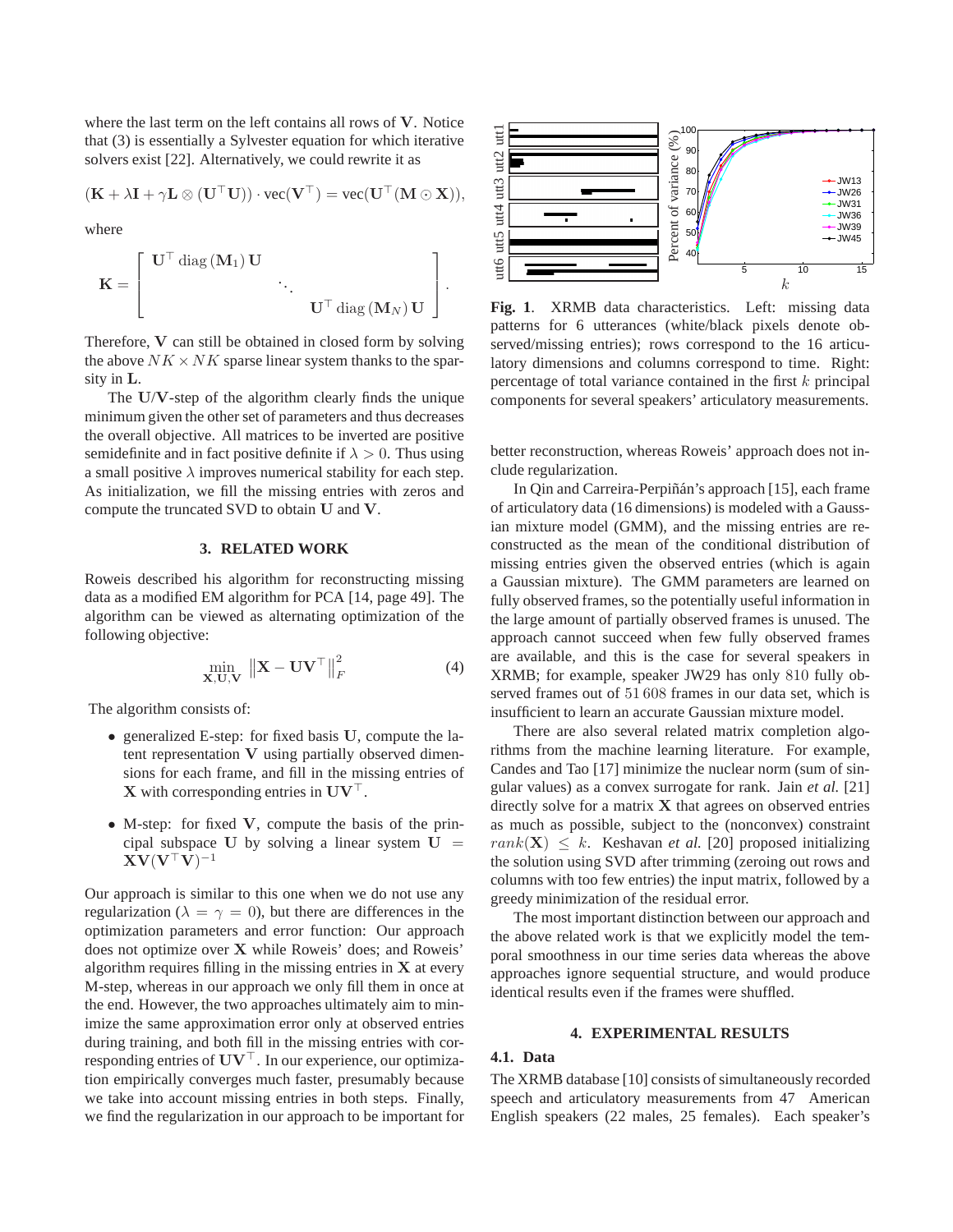where the last term on the left contains all rows of V. Notice that (3) is essentially a Sylvester equation for which iterative solvers exist [22]. Alternatively, we could rewrite it as

$$
(\mathbf{K} + \lambda \mathbf{I} + \gamma \mathbf{L} \otimes (\mathbf{U}^{\top} \mathbf{U})) \cdot \text{vec}(\mathbf{V}^{\top}) = \text{vec}(\mathbf{U}^{\top} (\mathbf{M} \odot \mathbf{X})),
$$

where

$$
\mathbf{K} = \left[ \begin{array}{cccc} \mathbf{U}^{\top} \operatorname{diag}\left(\mathbf{M}_{1}\right) \mathbf{U} & & \\ & \ddots & \\ & & \mathbf{U}^{\top} \operatorname{diag}\left(\mathbf{M}_{N}\right) \mathbf{U} \end{array} \right].
$$

Therefore, V can still be obtained in closed form by solving the above  $NK \times NK$  sparse linear system thanks to the sparsity in L.

The U/V-step of the algorithm clearly finds the unique minimum given the other set of parameters and thus decreases the overall objective. All matrices to be inverted are positive semidefinite and in fact positive definite if  $\lambda > 0$ . Thus using a small positive  $\lambda$  improves numerical stability for each step. As initialization, we fill the missing entries with zeros and compute the truncated SVD to obtain U and V.

# **3. RELATED WORK**

Roweis described his algorithm for reconstructing missing data as a modified EM algorithm for PCA [14, page 49]. The algorithm can be viewed as alternating optimization of the following objective:

$$
\min_{\mathbf{X}, \mathbf{U}, \mathbf{V}} \left\| \mathbf{X} - \mathbf{U} \mathbf{V}^{\top} \right\|_{F}^{2} \tag{4}
$$

The algorithm consists of:

- generalized E-step: for fixed basis U, compute the latent representation V using partially observed dimensions for each frame, and fill in the missing entries of X with corresponding entries in  $UV^{\perp}$ .
- M-step: for fixed V, compute the basis of the principal subspace U by solving a linear system  $U =$  $\mathbf{X} \mathbf{V} (\mathbf{V}^\top \hat{\mathbf{V}})^{-1}$

Our approach is similar to this one when we do not use any regularization ( $\lambda = \gamma = 0$ ), but there are differences in the optimization parameters and error function: Our approach does not optimize over X while Roweis' does; and Roweis' algorithm requires filling in the missing entries in  $X$  at every M-step, whereas in our approach we only fill them in once at the end. However, the two approaches ultimately aim to minimize the same approximation error only at observed entries during training, and both fill in the missing entries with corresponding entries of UV⊤. In our experience, our optimization empirically converges much faster, presumably because we take into account missing entries in both steps. Finally, we find the regularization in our approach to be important for



**Fig. 1**. XRMB data characteristics. Left: missing data patterns for 6 utterances (white/black pixels denote observed/missing entries); rows correspond to the 16 articulatory dimensions and columns correspond to time. Right: percentage of total variance contained in the first k principal components for several speakers' articulatory measurements.

better reconstruction, whereas Roweis' approach does not include regularization.

In Qin and Carreira-Perpiñán's approach [15], each frame of articulatory data (16 dimensions) is modeled with a Gaussian mixture model (GMM), and the missing entries are reconstructed as the mean of the conditional distribution of missing entries given the observed entries (which is again a Gaussian mixture). The GMM parameters are learned on fully observed frames, so the potentially useful information in the large amount of partially observed frames is unused. The approach cannot succeed when few fully observed frames are available, and this is the case for several speakers in XRMB; for example, speaker JW29 has only 810 fully observed frames out of 51 608 frames in our data set, which is insufficient to learn an accurate Gaussian mixture model.

There are also several related matrix completion algorithms from the machine learning literature. For example, Candes and Tao [17] minimize the nuclear norm (sum of singular values) as a convex surrogate for rank. Jain *et al.* [21] directly solve for a matrix  $X$  that agrees on observed entries as much as possible, subject to the (nonconvex) constraint  $rank(X) \leq k$ . Keshavan *et al.* [20] proposed initializing the solution using SVD after trimming (zeroing out rows and columns with too few entries) the input matrix, followed by a greedy minimization of the residual error.

The most important distinction between our approach and the above related work is that we explicitly model the temporal smoothness in our time series data whereas the above approaches ignore sequential structure, and would produce identical results even if the frames were shuffled.

#### **4. EXPERIMENTAL RESULTS**

# **4.1. Data**

The XRMB database [10] consists of simultaneously recorded speech and articulatory measurements from 47 American English speakers (22 males, 25 females). Each speaker's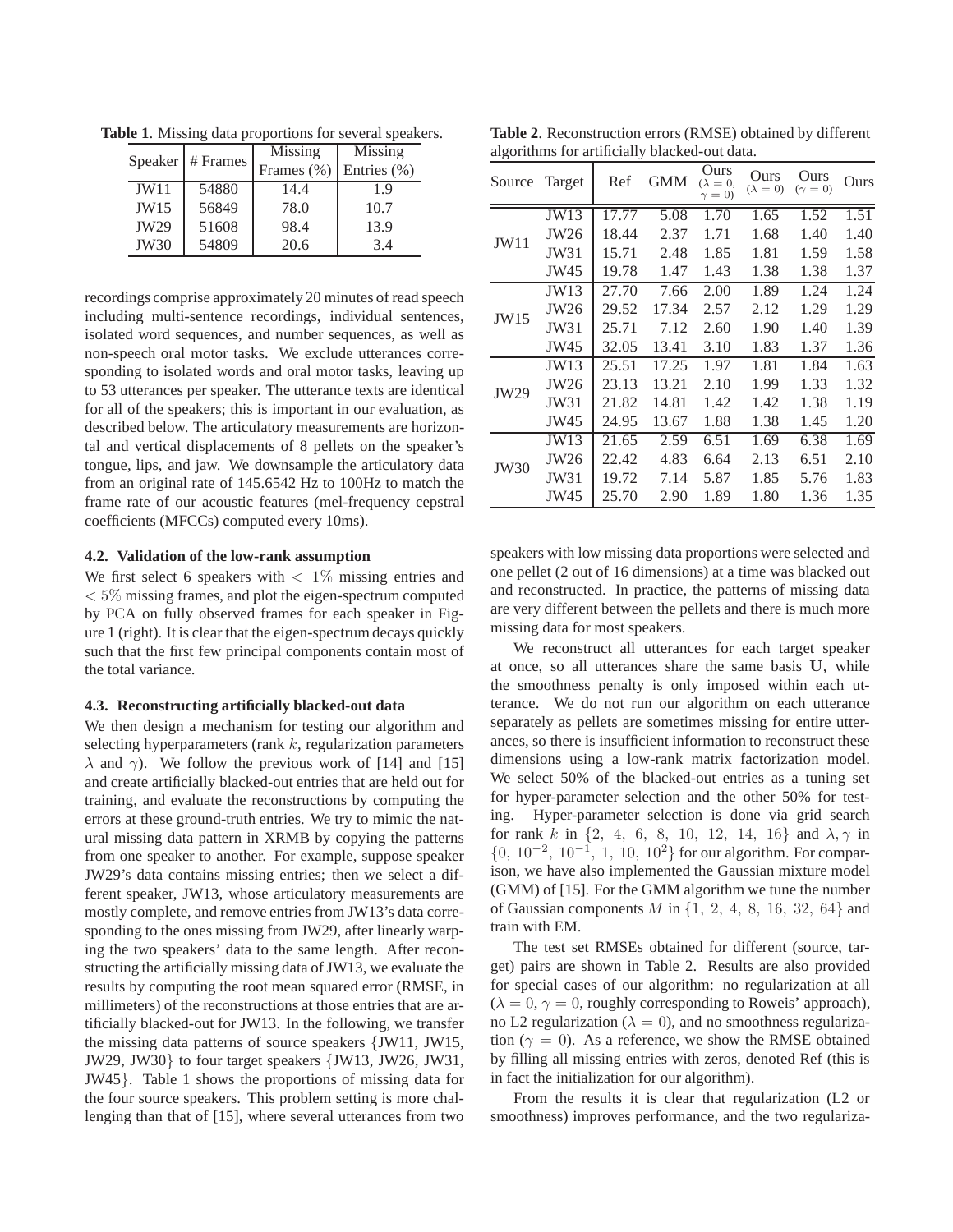|             | Speaker   # Frames | Missing<br>Frames (%) | Missing<br>Entries (%) |
|-------------|--------------------|-----------------------|------------------------|
| <b>JW11</b> | 54880              | 14.4                  | 1.9                    |
| JW15        | 56849              | 78.0                  | 10.7                   |
| JW29        | 51608              | 98.4                  | 13.9                   |
| <b>JW30</b> | 54809              | 20.6                  | 3.4                    |

**Table 1**. Missing data proportions for several speakers.

recordings comprise approximately 20 minutes of read speech including multi-sentence recordings, individual sentences, isolated word sequences, and number sequences, as well as non-speech oral motor tasks. We exclude utterances corresponding to isolated words and oral motor tasks, leaving up to 53 utterances per speaker. The utterance texts are identical for all of the speakers; this is important in our evaluation, as described below. The articulatory measurements are horizontal and vertical displacements of 8 pellets on the speaker's tongue, lips, and jaw. We downsample the articulatory data from an original rate of 145.6542 Hz to 100Hz to match the frame rate of our acoustic features (mel-frequency cepstral coefficients (MFCCs) computed every 10ms).

## **4.2. Validation of the low-rank assumption**

We first select 6 speakers with  $\langle 1 \rangle$  missing entries and < 5% missing frames, and plot the eigen-spectrum computed by PCA on fully observed frames for each speaker in Figure 1 (right). It is clear that the eigen-spectrum decays quickly such that the first few principal components contain most of the total variance.

#### **4.3. Reconstructing artificially blacked-out data**

We then design a mechanism for testing our algorithm and selecting hyperparameters (rank  $k$ , regularization parameters  $\lambda$  and  $\gamma$ ). We follow the previous work of [14] and [15] and create artificially blacked-out entries that are held out for training, and evaluate the reconstructions by computing the errors at these ground-truth entries. We try to mimic the natural missing data pattern in XRMB by copying the patterns from one speaker to another. For example, suppose speaker JW29's data contains missing entries; then we select a different speaker, JW13, whose articulatory measurements are mostly complete, and remove entries from JW13's data corresponding to the ones missing from JW29, after linearly warping the two speakers' data to the same length. After reconstructing the artificially missing data of JW13, we evaluate the results by computing the root mean squared error (RMSE, in millimeters) of the reconstructions at those entries that are artificially blacked-out for JW13. In the following, we transfer the missing data patterns of source speakers {JW11, JW15, JW29, JW30} to four target speakers {JW13, JW26, JW31, JW45}. Table 1 shows the proportions of missing data for the four source speakers. This problem setting is more challenging than that of [15], where several utterances from two

**Table 2**. Reconstruction errors (RMSE) obtained by different algorithms for artificially blacked-out data.

| Source      | Target | Ref   | GMM   | Ours<br>$(\lambda = 0.$<br>$\gamma=0$ | Ours<br>$(\lambda = 0)$ | Ours<br>$(\gamma = 0)$ | Ours |
|-------------|--------|-------|-------|---------------------------------------|-------------------------|------------------------|------|
| <b>JW11</b> | JW13   | 17.77 | 5.08  | 1.70                                  | 1.65                    | 1.52                   | 1.51 |
|             | JW26   | 18.44 | 2.37  | 1.71                                  | 1.68                    | 1.40                   | 1.40 |
|             | JW31   | 15.71 | 2.48  | 1.85                                  | 1.81                    | 1.59                   | 1.58 |
|             | JW45   | 19.78 | 1.47  | 1.43                                  | 1.38                    | 1.38                   | 1.37 |
| JW15        | JW13   | 27.70 | 7.66  | 2.00                                  | 1.89                    | 1.24                   | 1.24 |
|             | JW26   | 29.52 | 17.34 | 2.57                                  | 2.12                    | 1.29                   | 1.29 |
|             | JW31   | 25.71 | 7.12  | 2.60                                  | 1.90                    | 1.40                   | 1.39 |
|             | JW45   | 32.05 | 13.41 | 3.10                                  | 1.83                    | 1.37                   | 1.36 |
| JW29        | JW13   | 25.51 | 17.25 | 1.97                                  | 1.81                    | 1.84                   | 1.63 |
|             | JW26   | 23.13 | 13.21 | 2.10                                  | 1.99                    | 1.33                   | 1.32 |
|             | JW31   | 21.82 | 14.81 | 1.42                                  | 1.42                    | 1.38                   | 1.19 |
|             | JW45   | 24.95 | 13.67 | 1.88                                  | 1.38                    | 1.45                   | 1.20 |
| JW30        | JW13   | 21.65 | 2.59  | 6.51                                  | 1.69                    | 6.38                   | 1.69 |
|             | JW26   | 22.42 | 4.83  | 6.64                                  | 2.13                    | 6.51                   | 2.10 |
|             | JW31   | 19.72 | 7.14  | 5.87                                  | 1.85                    | 5.76                   | 1.83 |
|             | JW45   | 25.70 | 2.90  | 1.89                                  | 1.80                    | 1.36                   | 1.35 |

speakers with low missing data proportions were selected and one pellet (2 out of 16 dimensions) at a time was blacked out and reconstructed. In practice, the patterns of missing data are very different between the pellets and there is much more missing data for most speakers.

We reconstruct all utterances for each target speaker at once, so all utterances share the same basis U, while the smoothness penalty is only imposed within each utterance. We do not run our algorithm on each utterance separately as pellets are sometimes missing for entire utterances, so there is insufficient information to reconstruct these dimensions using a low-rank matrix factorization model. We select 50% of the blacked-out entries as a tuning set for hyper-parameter selection and the other 50% for testing. Hyper-parameter selection is done via grid search for rank k in {2, 4, 6, 8, 10, 12, 14, 16} and  $\lambda$ ,  $\gamma$  in  $\{0, 10^{-2}, 10^{-1}, 1, 10, 10^{2}\}\$  for our algorithm. For comparison, we have also implemented the Gaussian mixture model (GMM) of [15]. For the GMM algorithm we tune the number of Gaussian components  $M$  in  $\{1, 2, 4, 8, 16, 32, 64\}$  and train with EM.

The test set RMSEs obtained for different (source, target) pairs are shown in Table 2. Results are also provided for special cases of our algorithm: no regularization at all  $(\lambda = 0, \gamma = 0,$  roughly corresponding to Roweis' approach), no L2 regularization ( $\lambda = 0$ ), and no smoothness regularization ( $\gamma = 0$ ). As a reference, we show the RMSE obtained by filling all missing entries with zeros, denoted Ref (this is in fact the initialization for our algorithm).

From the results it is clear that regularization (L2 or smoothness) improves performance, and the two regulariza-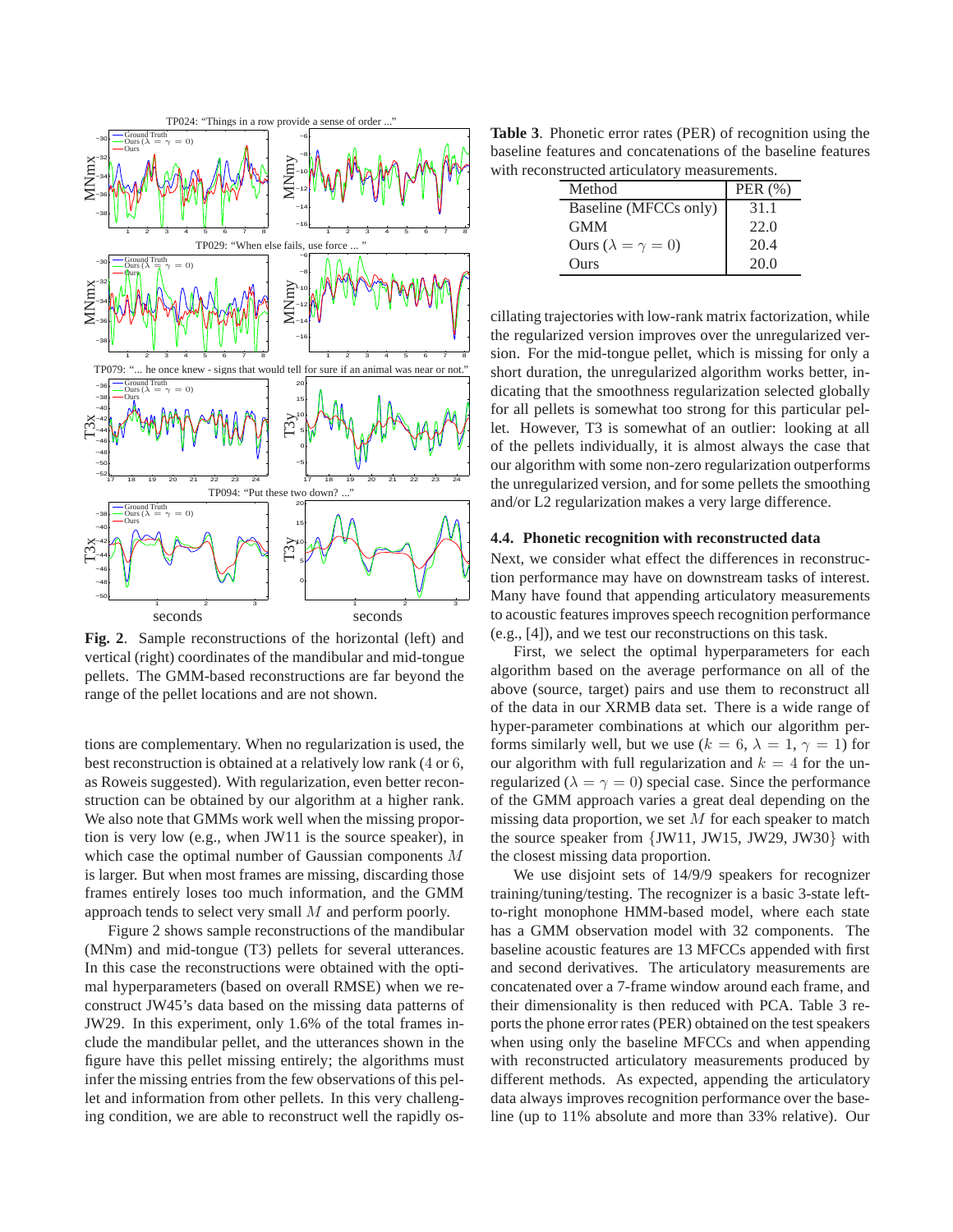

**Fig. 2**. Sample reconstructions of the horizontal (left) and vertical (right) coordinates of the mandibular and mid-tongue pellets. The GMM-based reconstructions are far beyond the range of the pellet locations and are not shown.

tions are complementary. When no regularization is used, the best reconstruction is obtained at a relatively low rank (4 or 6, as Roweis suggested). With regularization, even better reconstruction can be obtained by our algorithm at a higher rank. We also note that GMMs work well when the missing proportion is very low (e.g., when JW11 is the source speaker), in which case the optimal number of Gaussian components M is larger. But when most frames are missing, discarding those frames entirely loses too much information, and the GMM approach tends to select very small M and perform poorly.

Figure 2 shows sample reconstructions of the mandibular (MNm) and mid-tongue (T3) pellets for several utterances. In this case the reconstructions were obtained with the optimal hyperparameters (based on overall RMSE) when we reconstruct JW45's data based on the missing data patterns of JW29. In this experiment, only 1.6% of the total frames include the mandibular pellet, and the utterances shown in the figure have this pellet missing entirely; the algorithms must infer the missing entries from the few observations of this pellet and information from other pellets. In this very challenging condition, we are able to reconstruct well the rapidly os-

**Table 3**. Phonetic error rates (PER) of recognition using the baseline features and concatenations of the baseline features with reconstructed articulatory measurements.

| Method                          | PER (%) |  |  |  |
|---------------------------------|---------|--|--|--|
| Baseline (MFCCs only)           | 31.1    |  |  |  |
| <b>GMM</b>                      | 22.0    |  |  |  |
| Ours ( $\lambda = \gamma = 0$ ) | 20.4    |  |  |  |
| Ours                            | 20.0    |  |  |  |

cillating trajectories with low-rank matrix factorization, while the regularized version improves over the unregularized version. For the mid-tongue pellet, which is missing for only a short duration, the unregularized algorithm works better, indicating that the smoothness regularization selected globally for all pellets is somewhat too strong for this particular pellet. However, T3 is somewhat of an outlier: looking at all of the pellets individually, it is almost always the case that our algorithm with some non-zero regularization outperforms the unregularized version, and for some pellets the smoothing and/or L2 regularization makes a very large difference.

## **4.4. Phonetic recognition with reconstructed data**

Next, we consider what effect the differences in reconstruction performance may have on downstream tasks of interest. Many have found that appending articulatory measurements to acoustic features improves speech recognition performance (e.g., [4]), and we test our reconstructions on this task.

First, we select the optimal hyperparameters for each algorithm based on the average performance on all of the above (source, target) pairs and use them to reconstruct all of the data in our XRMB data set. There is a wide range of hyper-parameter combinations at which our algorithm performs similarly well, but we use  $(k = 6, \lambda = 1, \gamma = 1)$  for our algorithm with full regularization and  $k = 4$  for the unregularized ( $\lambda = \gamma = 0$ ) special case. Since the performance of the GMM approach varies a great deal depending on the missing data proportion, we set  $M$  for each speaker to match the source speaker from {JW11, JW15, JW29, JW30} with the closest missing data proportion.

We use disjoint sets of 14/9/9 speakers for recognizer training/tuning/testing. The recognizer is a basic 3-state leftto-right monophone HMM-based model, where each state has a GMM observation model with 32 components. The baseline acoustic features are 13 MFCCs appended with first and second derivatives. The articulatory measurements are concatenated over a 7-frame window around each frame, and their dimensionality is then reduced with PCA. Table 3 reports the phone error rates (PER) obtained on the test speakers when using only the baseline MFCCs and when appending with reconstructed articulatory measurements produced by different methods. As expected, appending the articulatory data always improves recognition performance over the baseline (up to 11% absolute and more than 33% relative). Our